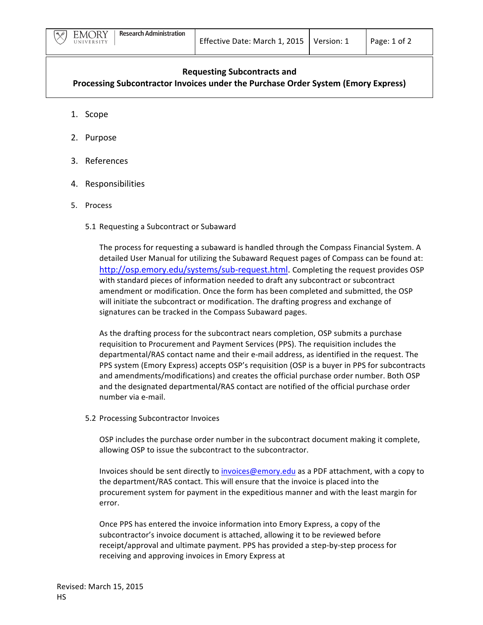

## **Requesting Subcontracts and**

**Processing Subcontractor Invoices under the Purchase Order System (Emory Express)** 

- 1. Scope
- 2. Purpose
- 3. References
- 4. Responsibilities
- 5. Process
	- 5.1 Requesting a Subcontract or Subaward

The process for requesting a subaward is handled through the Compass Financial System. A detailed User Manual for utilizing the Subaward Request pages of Compass can be found at: http://osp.emory.edu/systems/sub-request.html. Completing the request provides OSP with standard pieces of information needed to draft any subcontract or subcontract amendment or modification. Once the form has been completed and submitted, the OSP will initiate the subcontract or modification. The drafting progress and exchange of signatures can be tracked in the Compass Subaward pages.

As the drafting process for the subcontract nears completion, OSP submits a purchase requisition to Procurement and Payment Services (PPS). The requisition includes the departmental/RAS contact name and their e-mail address, as identified in the request. The PPS system (Emory Express) accepts OSP's requisition (OSP is a buyer in PPS for subcontracts and amendments/modifications) and creates the official purchase order number. Both OSP and the designated departmental/RAS contact are notified of the official purchase order number via e-mail. 

5.2 Processing Subcontractor Invoices

OSP includes the purchase order number in the subcontract document making it complete, allowing OSP to issue the subcontract to the subcontractor.

Invoices should be sent directly to *invoices@emory.edu* as a PDF attachment, with a copy to the department/RAS contact. This will ensure that the invoice is placed into the procurement system for payment in the expeditious manner and with the least margin for error. 

Once PPS has entered the invoice information into Emory Express, a copy of the subcontractor's invoice document is attached, allowing it to be reviewed before receipt/approval and ultimate payment. PPS has provided a step-by-step process for receiving and approving invoices in Emory Express at